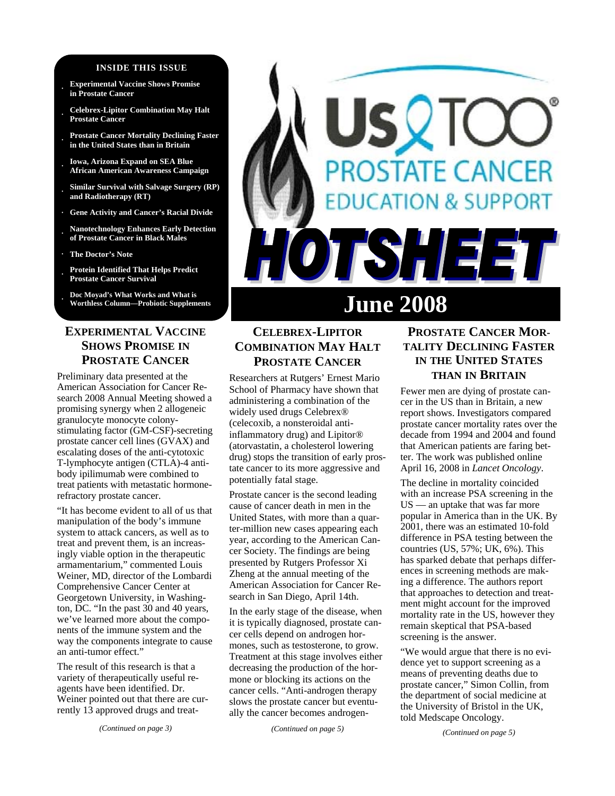#### **INSIDE THIS ISSUE**

- **· Experimental Vaccine Shows Promise in Prostate Cancer**
- **· Celebrex-Lipitor Combination May Halt Prostate Cancer**
- **· Prostate Cancer Mortality Declining Faster in the United States than in Britain**
- **· Iowa, Arizona Expand on SEA Blue African American Awareness Campaign**
- **· Similar Survival with Salvage Surgery (RP) and Radiotherapy (RT)**
- **· Gene Activity and Cancer's Racial Divide**
- **· Nanotechnology Enhances Early Detection of Prostate Cancer in Black Males**
- **· The Doctor's Note**
- **· Protein Identified That Helps Predict Prostate Cancer Survival**

**· Doc Moyad's What Works and What is** 

# **EXPERIMENTAL VACCINE SHOWS PROMISE IN PROSTATE CANCER**

Preliminary data presented at the American Association for Cancer Research 2008 Annual Meeting showed a promising synergy when 2 allogeneic granulocyte monocyte colonystimulating factor (GM-CSF)-secreting prostate cancer cell lines (GVAX) and escalating doses of the anti-cytotoxic T-lymphocyte antigen (CTLA)-4 antibody ipilimumab were combined to treat patients with metastatic hormonerefractory prostate cancer.

"It has become evident to all of us that manipulation of the body's immune system to attack cancers, as well as to treat and prevent them, is an increasingly viable option in the therapeutic armamentarium," commented Louis Weiner, MD, director of the Lombardi Comprehensive Cancer Center at Georgetown University, in Washington, DC. "In the past 30 and 40 years, we've learned more about the components of the immune system and the way the components integrate to cause an anti-tumor effect."

The result of this research is that a variety of therapeutically useful reagents have been identified. Dr. Weiner pointed out that there are currently 13 approved drugs and treat-

# STATE CANCER **ON & SUPPORT ISHE June 2008**

# **CELEBREX-LIPITOR COMBINATION MAY HALT PROSTATE CANCER**

Researchers at Rutgers' Ernest Mario School of Pharmacy have shown that administering a combination of the widely used drugs Celebrex® (celecoxib, a nonsteroidal antiinflammatory drug) and Lipitor® (atorvastatin, a cholesterol lowering drug) stops the transition of early prostate cancer to its more aggressive and potentially fatal stage.

Prostate cancer is the second leading cause of cancer death in men in the United States, with more than a quarter-million new cases appearing each year, according to the American Cancer Society. The findings are being presented by Rutgers Professor Xi Zheng at the annual meeting of the American Association for Cancer Research in San Diego, April 14th.

In the early stage of the disease, when it is typically diagnosed, prostate cancer cells depend on androgen hormones, such as testosterone, to grow. Treatment at this stage involves either decreasing the production of the hormone or blocking its actions on the cancer cells. "Anti-androgen therapy slows the prostate cancer but eventually the cancer becomes androgen-

*(Continued on page 5)* 

# **PROSTATE CANCER MOR-TALITY DECLINING FASTER IN THE UNITED STATES THAN IN BRITAIN**

Fewer men are dying of prostate cancer in the US than in Britain, a new report shows. Investigators compared prostate cancer mortality rates over the decade from 1994 and 2004 and found that American patients are faring better. The work was published online April 16, 2008 in *Lancet Oncology*.

The decline in mortality coincided with an increase PSA screening in the US — an uptake that was far more popular in America than in the UK. By 2001, there was an estimated 10-fold difference in PSA testing between the countries (US, 57%; UK, 6%). This has sparked debate that perhaps differences in screening methods are making a difference. The authors report that approaches to detection and treatment might account for the improved mortality rate in the US, however they remain skeptical that PSA-based screening is the answer.

"We would argue that there is no evidence yet to support screening as a means of preventing deaths due to prostate cancer," Simon Collin, from the department of social medicine at the University of Bristol in the UK, told Medscape Oncology.

*(Continued on page 5)*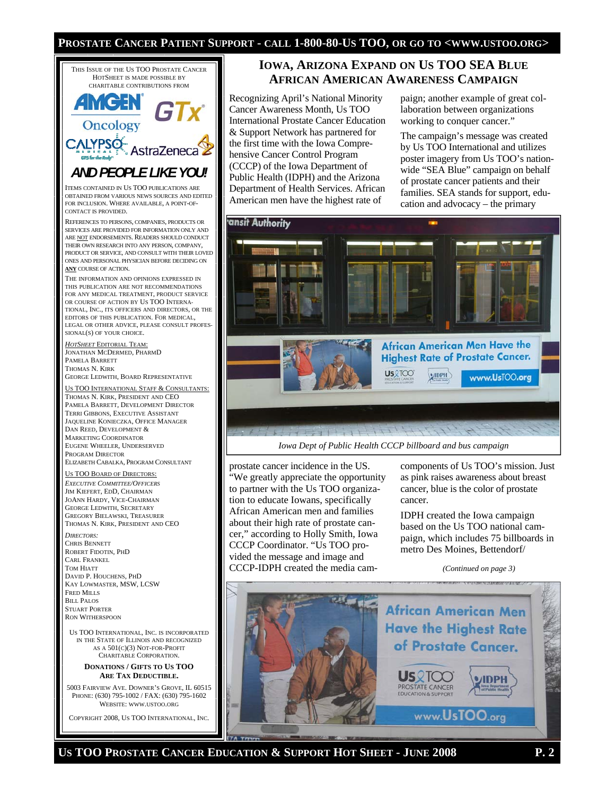#### **PROSTATE CANCER PATIENT SUPPORT - CALL 1-800-80-US TOO, OR GO TO <WWW.USTOO.ORG>**



JIM KIEFERT, EDD, CHAIRMAN JOANN HARDY, VICE-CHAIRMAN GEORGE LEDWITH, SECRETARY GREGORY BIELAWSKI, TREASURER THOMAS N. KIRK, PRESIDENT AND CEO *DIRECTORS:* 

CHRIS BENNETT ROBERT FIDOTIN, PHD CARL FRANKEL TOM HIATT DAVID P. HOUCHENS, PHD KAY LOWMASTER, MSW, LCSW FRED MILLS **BILL PALOS** STUART PORTER RON WITHERSPOON

US TOO INTERNATIONAL, INC. IS INCORPORATED IN THE STATE OF ILLINOIS AND RECOGNIZED AS A 501(C)(3) NOT-FOR-PROFIT CHARITABLE CORPORATION.

**DONATIONS / GIFTS TO US TOO ARE TAX DEDUCTIBLE.** 

5003 FAIRVIEW AVE. DOWNER'S GROVE, IL 60515 PHONE: (630) 795-1002 / FAX: (630) 795-1602 WEBSITE: WWW.USTOO.ORG

COPYRIGHT 2008, US TOO INTERNATIONAL, INC.

#### **IOWA, ARIZONA EXPAND ON US TOO SEA BLUE AFRICAN AMERICAN AWARENESS CAMPAIGN**

Recognizing April's National Minority Cancer Awareness Month, Us TOO International Prostate Cancer Education & Support Network has partnered for the first time with the Iowa Comprehensive Cancer Control Program (CCCP) of the Iowa Department of Public Health (IDPH) and the Arizona Department of Health Services. African American men have the highest rate of

paign; another example of great collaboration between organizations working to conquer cancer."

The campaign's message was created by Us TOO International and utilizes poster imagery from Us TOO's nationwide "SEA Blue" campaign on behalf of prostate cancer patients and their families. SEA stands for support, education and advocacy – the primary



prostate cancer incidence in the US. "We greatly appreciate the opportunity to partner with the Us TOO organization to educate Iowans, specifically African American men and families about their high rate of prostate cancer," according to Holly Smith, Iowa CCCP Coordinator. "Us TOO provided the message and image and CCCP-IDPH created the media cam-

components of Us TOO's mission. Just as pink raises awareness about breast cancer, blue is the color of prostate cancer.

IDPH created the Iowa campaign based on the Us TOO national campaign, which includes 75 billboards in metro Des Moines, Bettendorf/

*(Continued on page 3)* 



US TOO PROSTATE CANCER EDUCATION & SUPPORT HOT SHEET - JUNE 2008 P. 2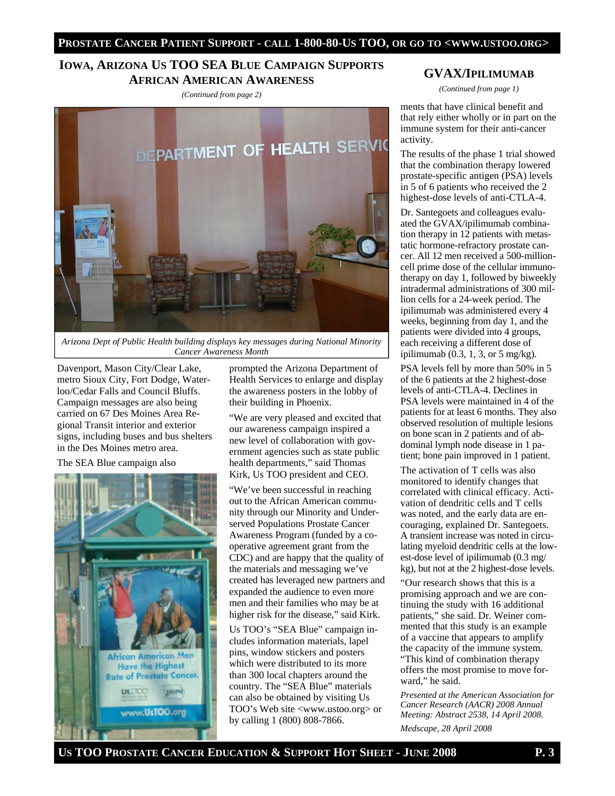#### **IOWA, ARIZONA US TOO SEA BLUE CAMPAIGN SUPPORTS AFRICAN AMERICAN AWARENESS**

*(Continued from page 2)* 



*Arizona Dept of Public Health building displays key messages during National Minority Cancer Awareness Month* 

Davenport, Mason City/Clear Lake, metro Sioux City, Fort Dodge, Waterloo/Cedar Falls and Council Bluffs. Campaign messages are also being carried on 67 Des Moines Area Regional Transit interior and exterior signs, including buses and bus shelters in the Des Moines metro area.

The SEA Blue campaign also



prompted the Arizona Department of Health Services to enlarge and display the awareness posters in the lobby of their building in Phoenix.

"We are very pleased and excited that our awareness campaign inspired a new level of collaboration with government agencies such as state public health departments," said Thomas Kirk, Us TOO president and CEO.

"We've been successful in reaching out to the African American community through our Minority and Underserved Populations Prostate Cancer Awareness Program (funded by a cooperative agreement grant from the CDC) and are happy that the quality of the materials and messaging we've created has leveraged new partners and expanded the audience to even more men and their families who may be at higher risk for the disease," said Kirk.

Us TOO's "SEA Blue" campaign includes information materials, lapel pins, window stickers and posters which were distributed to its more than 300 local chapters around the country. The "SEA Blue" materials can also be obtained by visiting Us TOO's Web site <www.ustoo.org> or by calling 1 (800) 808-7866.

#### **GVAX/IPILIMUMAB**

*(Continued from page 1)* 

ments that have clinical benefit and that rely either wholly or in part on the immune system for their anti-cancer activity.

The results of the phase 1 trial showed that the combination therapy lowered prostate-specific antigen (PSA) levels in 5 of 6 patients who received the 2 highest-dose levels of anti-CTLA-4.

Dr. Santegoets and colleagues evaluated the GVAX/ipilimumab combination therapy in 12 patients with metastatic hormone-refractory prostate cancer. All 12 men received a 500-millioncell prime dose of the cellular immunotherapy on day 1, followed by biweekly intradermal administrations of 300 million cells for a 24-week period. The ipilimumab was administered every 4 weeks, beginning from day 1, and the patients were divided into 4 groups, each receiving a different dose of ipilimumab  $(0.3, 1, 3, \text{or } 5 \text{ mg/kg})$ .

PSA levels fell by more than 50% in 5 of the 6 patients at the 2 highest-dose levels of anti-CTLA-4. Declines in PSA levels were maintained in 4 of the patients for at least 6 months. They also observed resolution of multiple lesions on bone scan in 2 patients and of abdominal lymph node disease in 1 patient; bone pain improved in 1 patient.

The activation of T cells was also monitored to identify changes that correlated with clinical efficacy. Activation of dendritic cells and T cells was noted, and the early data are encouraging, explained Dr. Santegoets. A transient increase was noted in circulating myeloid dendritic cells at the lowest-dose level of ipilimumab (0.3 mg/ kg), but not at the 2 highest-dose levels.

"Our research shows that this is a promising approach and we are continuing the study with 16 additional patients," she said. Dr. Weiner commented that this study is an example of a vaccine that appears to amplify the capacity of the immune system. "This kind of combination therapy offers the most promise to move forward," he said.

*Presented at the American Association for Cancer Research (AACR) 2008 Annual Meeting: Abstract 2538, 14 April 2008.* 

*Medscape, 28 April 2008*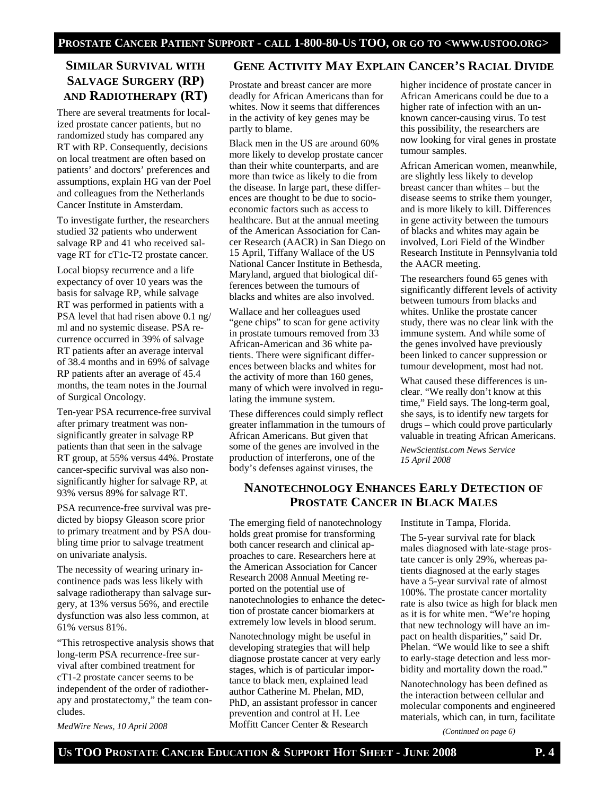# **SIMILAR SURVIVAL WITH SALVAGE SURGERY (RP) AND RADIOTHERAPY (RT)**

There are several treatments for localized prostate cancer patients, but no randomized study has compared any RT with RP. Consequently, decisions on local treatment are often based on patients' and doctors' preferences and assumptions, explain HG van der Poel and colleagues from the Netherlands Cancer Institute in Amsterdam.

To investigate further, the researchers studied 32 patients who underwent salvage RP and 41 who received salvage RT for cT1c-T2 prostate cancer.

Local biopsy recurrence and a life expectancy of over 10 years was the basis for salvage RP, while salvage RT was performed in patients with a PSA level that had risen above 0.1 ng/ ml and no systemic disease. PSA recurrence occurred in 39% of salvage RT patients after an average interval of 38.4 months and in 69% of salvage RP patients after an average of 45.4 months, the team notes in the Journal of Surgical Oncology.

Ten-year PSA recurrence-free survival after primary treatment was nonsignificantly greater in salvage RP patients than that seen in the salvage RT group, at 55% versus 44%. Prostate cancer-specific survival was also nonsignificantly higher for salvage RP, at 93% versus 89% for salvage RT.

PSA recurrence-free survival was predicted by biopsy Gleason score prior to primary treatment and by PSA doubling time prior to salvage treatment on univariate analysis.

The necessity of wearing urinary incontinence pads was less likely with salvage radiotherapy than salvage surgery, at 13% versus 56%, and erectile dysfunction was also less common, at 61% versus 81%.

"This retrospective analysis shows that long-term PSA recurrence-free survival after combined treatment for cT1-2 prostate cancer seems to be independent of the order of radiotherapy and prostatectomy," the team concludes.

*MedWire News, 10 April 2008* 

#### **GENE ACTIVITY MAY EXPLAIN CANCER'S RACIAL DIVIDE**

Prostate and breast cancer are more deadly for African Americans than for whites. Now it seems that differences in the activity of key genes may be partly to blame.

Black men in the US are around 60% more likely to develop prostate cancer than their white counterparts, and are more than twice as likely to die from the disease. In large part, these differences are thought to be due to socioeconomic factors such as access to healthcare. But at the annual meeting of the American Association for Cancer Research (AACR) in San Diego on 15 April, Tiffany Wallace of the US National Cancer Institute in Bethesda, Maryland, argued that biological differences between the tumours of blacks and whites are also involved.

Wallace and her colleagues used "gene chips" to scan for gene activity in prostate tumours removed from 33 African-American and 36 white patients. There were significant differences between blacks and whites for the activity of more than 160 genes, many of which were involved in regulating the immune system.

These differences could simply reflect greater inflammation in the tumours of African Americans. But given that some of the genes are involved in the production of interferons, one of the body's defenses against viruses, the

higher incidence of prostate cancer in African Americans could be due to a higher rate of infection with an unknown cancer-causing virus. To test this possibility, the researchers are now looking for viral genes in prostate tumour samples.

African American women, meanwhile, are slightly less likely to develop breast cancer than whites – but the disease seems to strike them younger, and is more likely to kill. Differences in gene activity between the tumours of blacks and whites may again be involved, Lori Field of the Windber Research Institute in Pennsylvania told the AACR meeting.

The researchers found 65 genes with significantly different levels of activity between tumours from blacks and whites. Unlike the prostate cancer study, there was no clear link with the immune system. And while some of the genes involved have previously been linked to cancer suppression or tumour development, most had not.

What caused these differences is unclear. "We really don't know at this time," Field says. The long-term goal, she says, is to identify new targets for drugs – which could prove particularly valuable in treating African Americans.

*NewScientist.com News Service 15 April 2008* 

# **NANOTECHNOLOGY ENHANCES EARLY DETECTION OF PROSTATE CANCER IN BLACK MALES**

The emerging field of nanotechnology holds great promise for transforming both cancer research and clinical approaches to care. Researchers here at the American Association for Cancer Research 2008 Annual Meeting reported on the potential use of nanotechnologies to enhance the detection of prostate cancer biomarkers at extremely low levels in blood serum.

Nanotechnology might be useful in developing strategies that will help diagnose prostate cancer at very early stages, which is of particular importance to black men, explained lead author Catherine M. Phelan, MD, PhD, an assistant professor in cancer prevention and control at H. Lee Moffitt Cancer Center & Research

Institute in Tampa, Florida.

The 5-year survival rate for black males diagnosed with late-stage prostate cancer is only 29%, whereas patients diagnosed at the early stages have a 5-year survival rate of almost 100%. The prostate cancer mortality rate is also twice as high for black men as it is for white men. "We're hoping that new technology will have an impact on health disparities," said Dr. Phelan. "We would like to see a shift to early-stage detection and less morbidity and mortality down the road."

Nanotechnology has been defined as the interaction between cellular and molecular components and engineered materials, which can, in turn, facilitate

*(Continued on page 6)*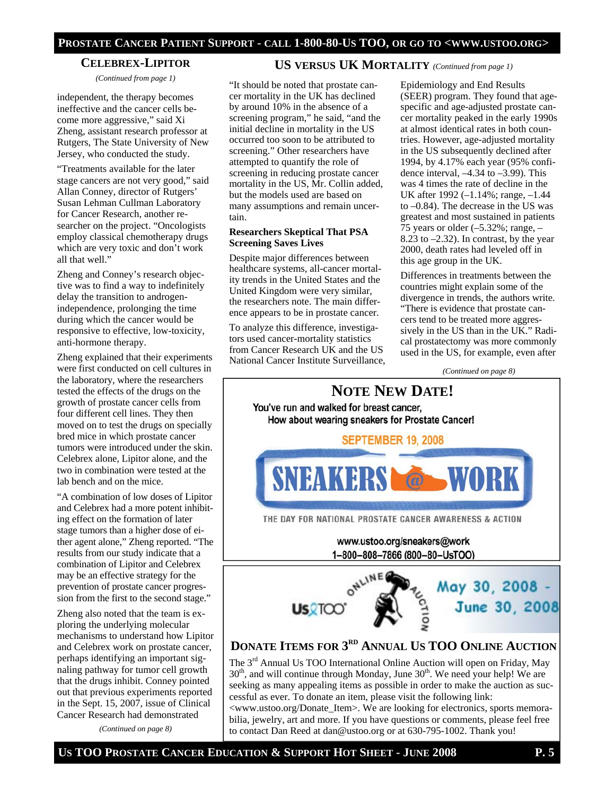#### **CELEBREX-LIPITOR**

*(Continued from page 1)* 

independent, the therapy becomes ineffective and the cancer cells become more aggressive," said Xi Zheng, assistant research professor at Rutgers, The State University of New Jersey, who conducted the study.

"Treatments available for the later stage cancers are not very good," said Allan Conney, director of Rutgers' Susan Lehman Cullman Laboratory for Cancer Research, another researcher on the project. "Oncologists employ classical chemotherapy drugs which are very toxic and don't work all that well."

Zheng and Conney's research objective was to find a way to indefinitely delay the transition to androgenindependence, prolonging the time during which the cancer would be responsive to effective, low-toxicity, anti-hormone therapy.

Zheng explained that their experiments were first conducted on cell cultures in the laboratory, where the researchers tested the effects of the drugs on the growth of prostate cancer cells from four different cell lines. They then moved on to test the drugs on specially bred mice in which prostate cancer tumors were introduced under the skin. Celebrex alone, Lipitor alone, and the two in combination were tested at the lab bench and on the mice.

"A combination of low doses of Lipitor and Celebrex had a more potent inhibiting effect on the formation of later stage tumors than a higher dose of either agent alone," Zheng reported. "The results from our study indicate that a combination of Lipitor and Celebrex may be an effective strategy for the prevention of prostate cancer progression from the first to the second stage."

Zheng also noted that the team is exploring the underlying molecular mechanisms to understand how Lipitor and Celebrex work on prostate cancer, perhaps identifying an important signaling pathway for tumor cell growth that the drugs inhibit. Conney pointed out that previous experiments reported in the Sept. 15, 2007, issue of Clinical Cancer Research had demonstrated

*(Continued on page 8)* 

#### **US VERSUS UK MORTALITY** *(Continued from page 1)*

"It should be noted that prostate cancer mortality in the UK has declined by around 10% in the absence of a screening program," he said, "and the initial decline in mortality in the US occurred too soon to be attributed to screening." Other researchers have attempted to quantify the role of screening in reducing prostate cancer mortality in the US, Mr. Collin added, but the models used are based on many assumptions and remain uncertain.

#### **Researchers Skeptical That PSA Screening Saves Lives**

Despite major differences between healthcare systems, all-cancer mortality trends in the United States and the United Kingdom were very similar, the researchers note. The main difference appears to be in prostate cancer.

To analyze this difference, investigators used cancer-mortality statistics from Cancer Research UK and the US National Cancer Institute Surveillance,

Epidemiology and End Results (SEER) program. They found that agespecific and age-adjusted prostate cancer mortality peaked in the early 1990s at almost identical rates in both countries. However, age-adjusted mortality in the US subsequently declined after 1994, by 4.17% each year (95% confidence interval,  $-4.34$  to  $-3.99$ ). This was 4 times the rate of decline in the UK after 1992 (–1.14%; range, –1.44 to –0.84). The decrease in the US was greatest and most sustained in patients 75 years or older  $(-5.32\%; \text{range}, -$ 8.23 to  $-2.32$ ). In contrast, by the year 2000, death rates had leveled off in this age group in the UK.

Differences in treatments between the countries might explain some of the divergence in trends, the authors write. "There is evidence that prostate cancers tend to be treated more aggressively in the US than in the UK." Radical prostatectomy was more commonly used in the US, for example, even after

*(Continued on page 8)* 



to contact Dan Reed at dan@ustoo.org or at 630-795-1002. Thank you!

**US TOO PROSTATE CANCER EDUCATION & SUPPORT HOT SHEET - JUNE 2008 P. 5**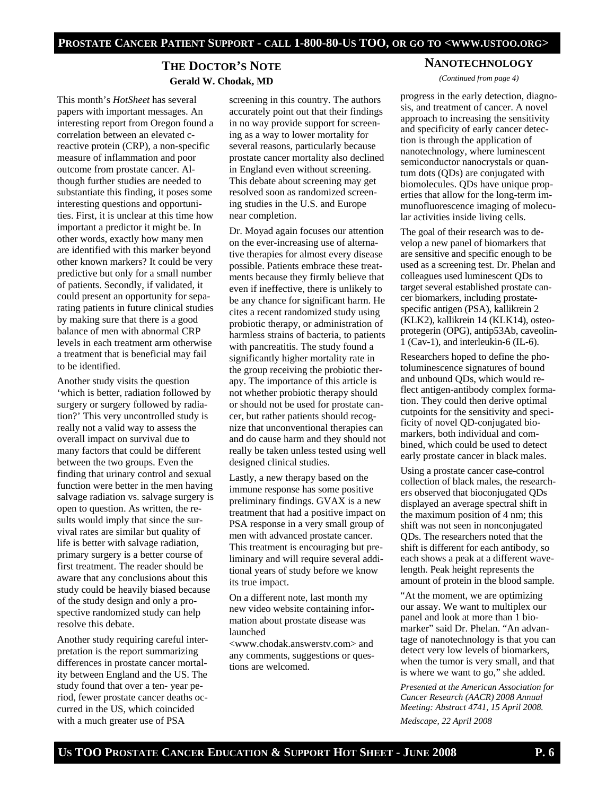#### **THE DOCTOR'S NOTE Gerald W. Chodak, MD**

This month's *HotSheet* has several papers with important messages. An interesting report from Oregon found a correlation between an elevated creactive protein (CRP), a non-specific measure of inflammation and poor outcome from prostate cancer. Although further studies are needed to substantiate this finding, it poses some interesting questions and opportunities. First, it is unclear at this time how important a predictor it might be. In other words, exactly how many men are identified with this marker beyond other known markers? It could be very predictive but only for a small number of patients. Secondly, if validated, it could present an opportunity for separating patients in future clinical studies by making sure that there is a good balance of men with abnormal CRP levels in each treatment arm otherwise a treatment that is beneficial may fail to be identified.

Another study visits the question 'which is better, radiation followed by surgery or surgery followed by radiation?' This very uncontrolled study is really not a valid way to assess the overall impact on survival due to many factors that could be different between the two groups. Even the finding that urinary control and sexual function were better in the men having salvage radiation vs. salvage surgery is open to question. As written, the results would imply that since the survival rates are similar but quality of life is better with salvage radiation, primary surgery is a better course of first treatment. The reader should be aware that any conclusions about this study could be heavily biased because of the study design and only a prospective randomized study can help resolve this debate.

Another study requiring careful interpretation is the report summarizing differences in prostate cancer mortality between England and the US. The study found that over a ten- year period, fewer prostate cancer deaths occurred in the US, which coincided with a much greater use of PSA

screening in this country. The authors accurately point out that their findings in no way provide support for screening as a way to lower mortality for several reasons, particularly because prostate cancer mortality also declined in England even without screening. This debate about screening may get resolved soon as randomized screening studies in the U.S. and Europe near completion.

Dr. Moyad again focuses our attention on the ever-increasing use of alternative therapies for almost every disease possible. Patients embrace these treatments because they firmly believe that even if ineffective, there is unlikely to be any chance for significant harm. He cites a recent randomized study using probiotic therapy, or administration of harmless strains of bacteria, to patients with pancreatitis. The study found a significantly higher mortality rate in the group receiving the probiotic therapy. The importance of this article is not whether probiotic therapy should or should not be used for prostate cancer, but rather patients should recognize that unconventional therapies can and do cause harm and they should not really be taken unless tested using well designed clinical studies.

Lastly, a new therapy based on the immune response has some positive preliminary findings. GVAX is a new treatment that had a positive impact on PSA response in a very small group of men with advanced prostate cancer. This treatment is encouraging but preliminary and will require several additional years of study before we know its true impact.

On a different note, last month my new video website containing information about prostate disease was launched

<www.chodak.answerstv.com> and any comments, suggestions or questions are welcomed.

#### **NANOTECHNOLOGY** *(Continued from page 4)*

progress in the early detection, diagnosis, and treatment of cancer. A novel approach to increasing the sensitivity and specificity of early cancer detection is through the application of nanotechnology, where luminescent semiconductor nanocrystals or quantum dots (QDs) are conjugated with biomolecules. QDs have unique properties that allow for the long-term immunofluorescence imaging of molecular activities inside living cells.

The goal of their research was to develop a new panel of biomarkers that are sensitive and specific enough to be used as a screening test. Dr. Phelan and colleagues used luminescent QDs to target several established prostate cancer biomarkers, including prostatespecific antigen (PSA), kallikrein 2 (KLK2), kallikrein 14 (KLK14), osteoprotegerin (OPG), antip53Ab, caveolin-1 (Cav-1), and interleukin-6 (IL-6).

Researchers hoped to define the photoluminescence signatures of bound and unbound QDs, which would reflect antigen-antibody complex formation. They could then derive optimal cutpoints for the sensitivity and specificity of novel QD-conjugated biomarkers, both individual and combined, which could be used to detect early prostate cancer in black males.

Using a prostate cancer case-control collection of black males, the researchers observed that bioconjugated QDs displayed an average spectral shift in the maximum position of 4 nm; this shift was not seen in nonconjugated QDs. The researchers noted that the shift is different for each antibody, so each shows a peak at a different wavelength. Peak height represents the amount of protein in the blood sample.

"At the moment, we are optimizing our assay. We want to multiplex our panel and look at more than 1 biomarker" said Dr. Phelan. "An advantage of nanotechnology is that you can detect very low levels of biomarkers, when the tumor is very small, and that is where we want to go," she added.

*Presented at the American Association for Cancer Research (AACR) 2008 Annual Meeting: Abstract 4741, 15 April 2008.* 

*Medscape, 22 April 2008*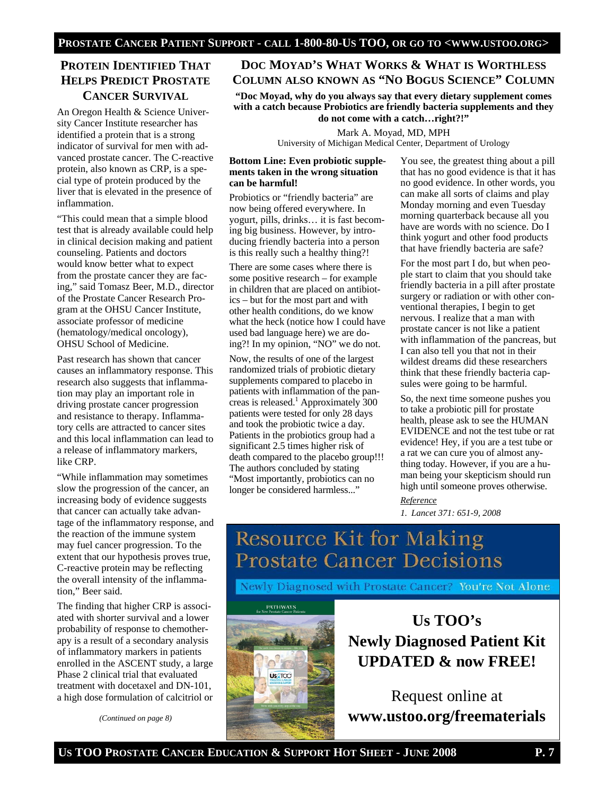# **PROTEIN IDENTIFIED THAT HELPS PREDICT PROSTATE CANCER SURVIVAL**

An Oregon Health & Science University Cancer Institute researcher has identified a protein that is a strong indicator of survival for men with advanced prostate cancer. The C-reactive protein, also known as CRP, is a special type of protein produced by the liver that is elevated in the presence of inflammation.

"This could mean that a simple blood test that is already available could help in clinical decision making and patient counseling. Patients and doctors would know better what to expect from the prostate cancer they are facing," said Tomasz Beer, M.D., director of the Prostate Cancer Research Program at the OHSU Cancer Institute, associate professor of medicine (hematology/medical oncology), OHSU School of Medicine.

Past research has shown that cancer causes an inflammatory response. This research also suggests that inflammation may play an important role in driving prostate cancer progression and resistance to therapy. Inflammatory cells are attracted to cancer sites and this local inflammation can lead to a release of inflammatory markers, like CRP.

"While inflammation may sometimes slow the progression of the cancer, an increasing body of evidence suggests that cancer can actually take advantage of the inflammatory response, and the reaction of the immune system may fuel cancer progression. To the extent that our hypothesis proves true, C-reactive protein may be reflecting the overall intensity of the inflammation," Beer said.

The finding that higher CRP is associated with shorter survival and a lower probability of response to chemotherapy is a result of a secondary analysis of inflammatory markers in patients enrolled in the ASCENT study, a large Phase 2 clinical trial that evaluated treatment with docetaxel and DN-101, a high dose formulation of calcitriol or

*(Continued on page 8)* 

#### **DOC MOYAD'S WHAT WORKS & WHAT IS WORTHLESS COLUMN ALSO KNOWN AS "NO BOGUS SCIENCE" COLUMN**

**"Doc Moyad, why do you always say that every dietary supplement comes with a catch because Probiotics are friendly bacteria supplements and they do not come with a catch…right?!"** 

Mark A. Moyad, MD, MPH University of Michigan Medical Center, Department of Urology

#### **Bottom Line: Even probiotic supplements taken in the wrong situation can be harmful!**

Probiotics or "friendly bacteria" are now being offered everywhere. In yogurt, pills, drinks… it is fast becoming big business. However, by introducing friendly bacteria into a person is this really such a healthy thing?!

There are some cases where there is some positive research – for example in children that are placed on antibiotics – but for the most part and with other health conditions, do we know what the heck (notice how I could have used bad language here) we are doing?! In my opinion, "NO" we do not.

Now, the results of one of the largest randomized trials of probiotic dietary supplements compared to placebo in patients with inflammation of the pancreas is released.<sup>1</sup> Approximately  $300$ patients were tested for only 28 days and took the probiotic twice a day. Patients in the probiotics group had a significant 2.5 times higher risk of death compared to the placebo group!!! The authors concluded by stating "Most importantly, probiotics can no longer be considered harmless..."

You see, the greatest thing about a pill that has no good evidence is that it has no good evidence. In other words, you can make all sorts of claims and play Monday morning and even Tuesday morning quarterback because all you have are words with no science. Do I think yogurt and other food products that have friendly bacteria are safe?

For the most part I do, but when people start to claim that you should take friendly bacteria in a pill after prostate surgery or radiation or with other conventional therapies, I begin to get nervous. I realize that a man with prostate cancer is not like a patient with inflammation of the pancreas, but I can also tell you that not in their wildest dreams did these researchers think that these friendly bacteria capsules were going to be harmful.

So, the next time someone pushes you to take a probiotic pill for prostate health, please ask to see the HUMAN EVIDENCE and not the test tube or rat evidence! Hey, if you are a test tube or a rat we can cure you of almost anything today. However, if you are a human being your skepticism should run high until someone proves otherwise.

*Reference 1. Lancet 371: 651-9, 2008* 

# **Resource Kit for Making Prostate Cancer Decisions**

Newly Diagnosed with Prostate Cancer? You're Not Alone

#### **PATHWAYS**



**Us TOO's Newly Diagnosed Patient Kit UPDATED & now FREE!**

Request online at **www.ustoo.org/freematerials**

US TOO PROSTATE CANCER EDUCATION & SUPPORT HOT SHEET - JUNE 2008 P. 7